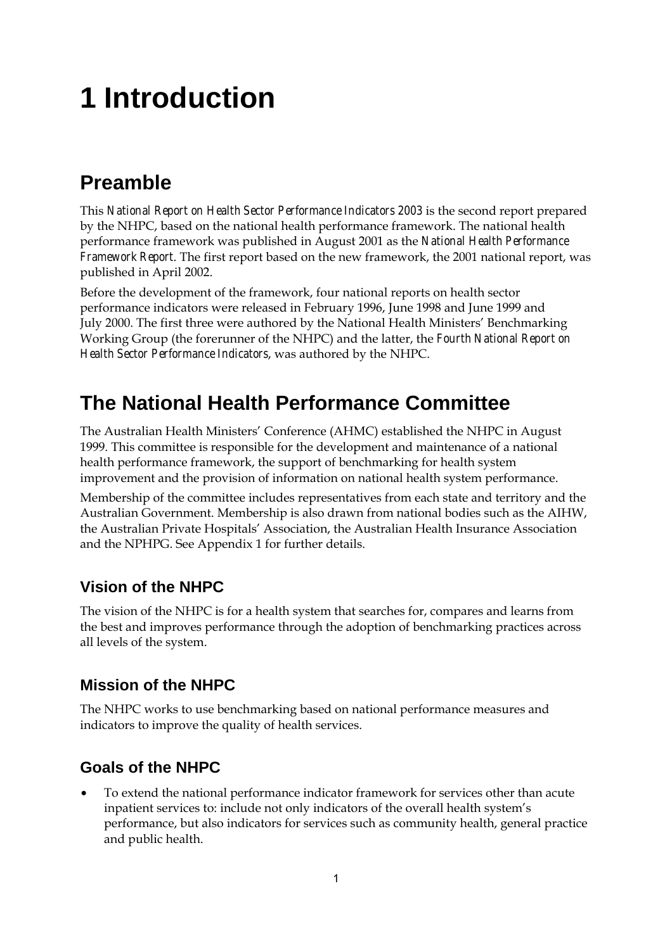# **1 Introduction**

# **Preamble**

This *National Report on Health Sector Performance Indicators 2003* is the second report prepared by the NHPC, based on the national health performance framework. The national health performance framework was published in August 2001 as the *National Health Performance Framework Report*. The first report based on the new framework, the 2001 national report, was published in April 2002.

Before the development of the framework, four national reports on health sector performance indicators were released in February 1996, June 1998 and June 1999 and July 2000. The first three were authored by the National Health Ministers' Benchmarking Working Group (the forerunner of the NHPC) and the latter, the *Fourth National Report on Health Sector Performance Indicators*, was authored by the NHPC.

# **The National Health Performance Committee**

The Australian Health Ministers' Conference (AHMC) established the NHPC in August 1999. This committee is responsible for the development and maintenance of a national health performance framework, the support of benchmarking for health system improvement and the provision of information on national health system performance.

Membership of the committee includes representatives from each state and territory and the Australian Government. Membership is also drawn from national bodies such as the AIHW, the Australian Private Hospitals' Association, the Australian Health Insurance Association and the NPHPG. See Appendix 1 for further details.

### **Vision of the NHPC**

The vision of the NHPC is for a health system that searches for, compares and learns from the best and improves performance through the adoption of benchmarking practices across all levels of the system.

### **Mission of the NHPC**

The NHPC works to use benchmarking based on national performance measures and indicators to improve the quality of health services.

### **Goals of the NHPC**

• To extend the national performance indicator framework for services other than acute inpatient services to: include not only indicators of the overall health system's performance, but also indicators for services such as community health, general practice and public health.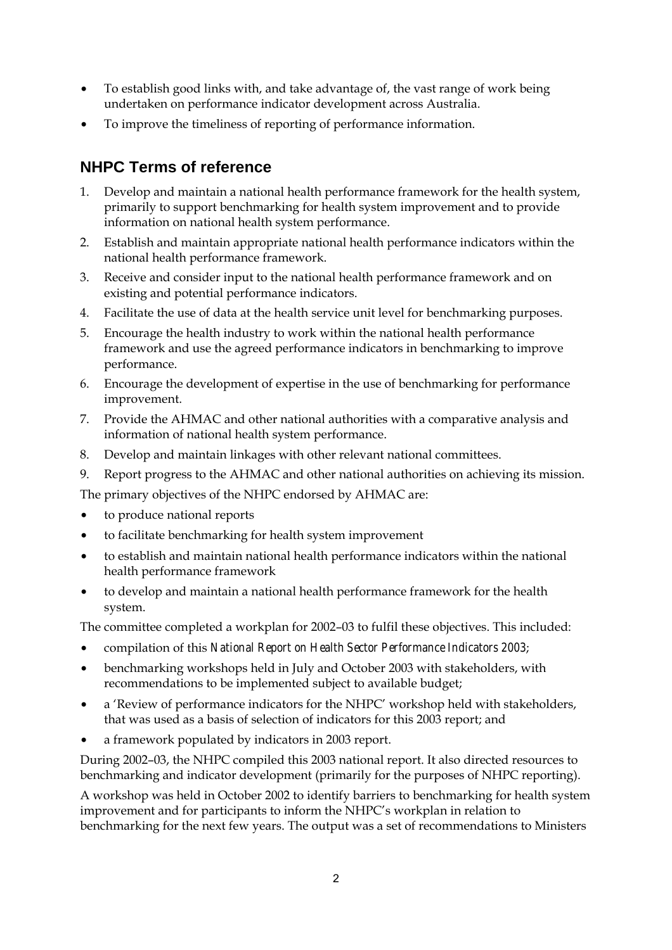- To establish good links with, and take advantage of, the vast range of work being undertaken on performance indicator development across Australia.
- To improve the timeliness of reporting of performance information.

### **NHPC Terms of reference**

- 1. Develop and maintain a national health performance framework for the health system, primarily to support benchmarking for health system improvement and to provide information on national health system performance.
- 2. Establish and maintain appropriate national health performance indicators within the national health performance framework.
- 3. Receive and consider input to the national health performance framework and on existing and potential performance indicators.
- 4. Facilitate the use of data at the health service unit level for benchmarking purposes.
- 5. Encourage the health industry to work within the national health performance framework and use the agreed performance indicators in benchmarking to improve performance.
- 6. Encourage the development of expertise in the use of benchmarking for performance improvement.
- 7. Provide the AHMAC and other national authorities with a comparative analysis and information of national health system performance.
- 8. Develop and maintain linkages with other relevant national committees.
- 9. Report progress to the AHMAC and other national authorities on achieving its mission.

The primary objectives of the NHPC endorsed by AHMAC are:

- to produce national reports
- to facilitate benchmarking for health system improvement
- to establish and maintain national health performance indicators within the national health performance framework
- to develop and maintain a national health performance framework for the health system.

The committee completed a workplan for 2002–03 to fulfil these objectives. This included:

- compilation of this *National Report on Health Sector Performance Indicators 2003*;
- benchmarking workshops held in July and October 2003 with stakeholders, with recommendations to be implemented subject to available budget;
- a 'Review of performance indicators for the NHPC' workshop held with stakeholders, that was used as a basis of selection of indicators for this 2003 report; and
- a framework populated by indicators in 2003 report.

During 2002–03, the NHPC compiled this 2003 national report. It also directed resources to benchmarking and indicator development (primarily for the purposes of NHPC reporting).

A workshop was held in October 2002 to identify barriers to benchmarking for health system improvement and for participants to inform the NHPC's workplan in relation to benchmarking for the next few years. The output was a set of recommendations to Ministers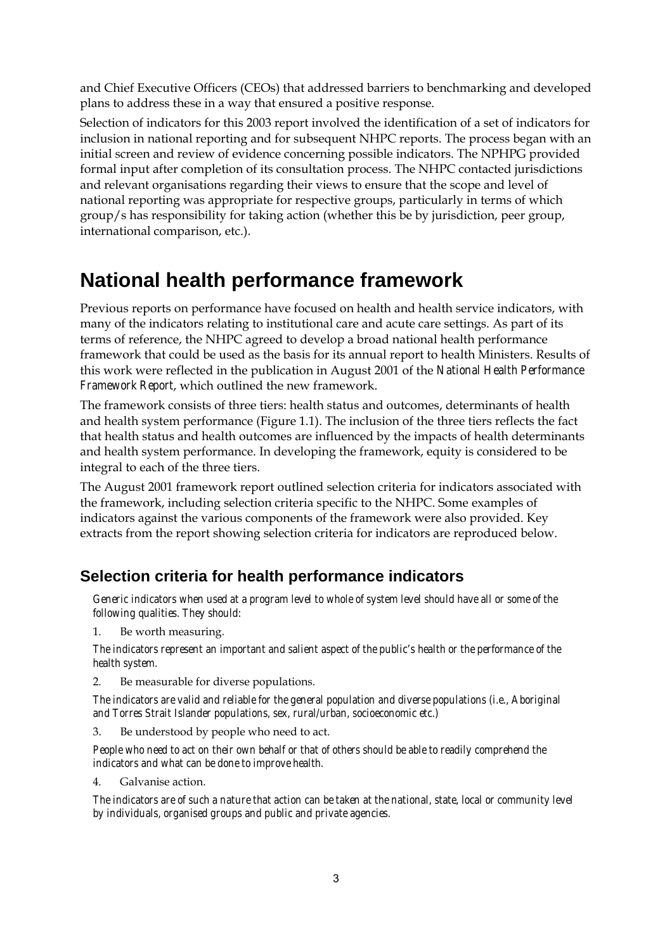and Chief Executive Officers (CEOs) that addressed barriers to benchmarking and developed plans to address these in a way that ensured a positive response.

Selection of indicators for this 2003 report involved the identification of a set of indicators for inclusion in national reporting and for subsequent NHPC reports. The process began with an initial screen and review of evidence concerning possible indicators. The NPHPG provided formal input after completion of its consultation process. The NHPC contacted jurisdictions and relevant organisations regarding their views to ensure that the scope and level of national reporting was appropriate for respective groups, particularly in terms of which group/s has responsibility for taking action (whether this be by jurisdiction, peer group, international comparison, etc.).

## **National health performance framework**

Previous reports on performance have focused on health and health service indicators, with many of the indicators relating to institutional care and acute care settings. As part of its terms of reference, the NHPC agreed to develop a broad national health performance framework that could be used as the basis for its annual report to health Ministers. Results of this work were reflected in the publication in August 2001 of the *National Health Performance Framework Report*, which outlined the new framework.

The framework consists of three tiers: health status and outcomes, determinants of health and health system performance (Figure 1.1). The inclusion of the three tiers reflects the fact that health status and health outcomes are influenced by the impacts of health determinants and health system performance. In developing the framework, equity is considered to be integral to each of the three tiers.

The August 2001 framework report outlined selection criteria for indicators associated with the framework, including selection criteria specific to the NHPC. Some examples of indicators against the various components of the framework were also provided. Key extracts from the report showing selection criteria for indicators are reproduced below.

### **Selection criteria for health performance indicators**

*Generic indicators when used at a program level to whole of system level should have all or some of the following qualities. They should:* 

1. Be worth measuring*.* 

*The indicators represent an important and salient aspect of the public's health or the performance of the health system.* 

2. Be measurable for diverse populations.

*The indicators are valid and reliable for the general population and diverse populations (i.e., Aboriginal and Torres Strait Islander populations, sex, rural/urban, socioeconomic etc.)* 

3. Be understood by people who need to act.

*People who need to act on their own behalf or that of others should be able to readily comprehend the indicators and what can be done to improve health.* 

4. Galvanise action.

*The indicators are of such a nature that action can be taken at the national, state, local or community level by individuals, organised groups and public and private agencies.*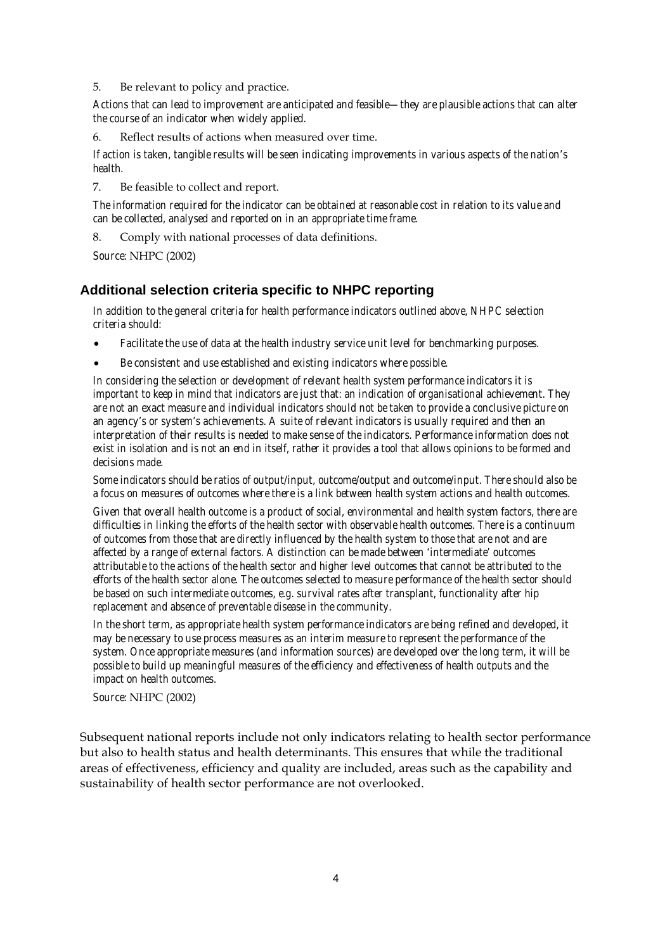5. Be relevant to policy and practice*.* 

*Actions that can lead to improvement are anticipated and feasible—they are plausible actions that can alter the course of an indicator when widely applied.* 

6. Reflect results of actions when measured over time.

*If action is taken, tangible results will be seen indicating improvements in various aspects of the nation's health.* 

7. Be feasible to collect and report.

*The information required for the indicator can be obtained at reasonable cost in relation to its value and can be collected, analysed and reported on in an appropriate time frame.* 

8. Comply with national processes of data definitions.

*Source:* NHPC (2002)

#### **Additional selection criteria specific to NHPC reporting**

*In addition to the general criteria for health performance indicators outlined above, NHPC selection criteria should:* 

- *Facilitate the use of data at the health industry service unit level for benchmarking purposes.*
- • *Be consistent and use established and existing indicators where possible.*

*In considering the selection or development of relevant health system performance indicators it is important to keep in mind that indicators are just that: an indication of organisational achievement. They are not an exact measure and individual indicators should not be taken to provide a conclusive picture on an agency's or system's achievements. A suite of relevant indicators is usually required and then an interpretation of their results is needed to make sense of the indicators. Performance information does not exist in isolation and is not an end in itself, rather it provides a tool that allows opinions to be formed and decisions made.* 

*Some indicators should be ratios of output/input, outcome/output and outcome/input. There should also be a focus on measures of outcomes where there is a link between health system actions and health outcomes.* 

*Given that overall health outcome is a product of social, environmental and health system factors, there are difficulties in linking the efforts of the health sector with observable health outcomes. There is a continuum of outcomes from those that are directly influenced by the health system to those that are not and are affected by a range of external factors. A distinction can be made between 'intermediate' outcomes attributable to the actions of the health sector and higher level outcomes that cannot be attributed to the efforts of the health sector alone. The outcomes selected to measure performance of the health sector should be based on such intermediate outcomes, e.g. survival rates after transplant, functionality after hip replacement and absence of preventable disease in the community.* 

*In the short term, as appropriate health system performance indicators are being refined and developed, it may be necessary to use process measures as an interim measure to represent the performance of the system. Once appropriate measures (and information sources) are developed over the long term, it will be possible to build up meaningful measures of the efficiency and effectiveness of health outputs and the impact on health outcomes.* 

*Source:* NHPC (2002)

Subsequent national reports include not only indicators relating to health sector performance but also to health status and health determinants. This ensures that while the traditional areas of effectiveness, efficiency and quality are included, areas such as the capability and sustainability of health sector performance are not overlooked.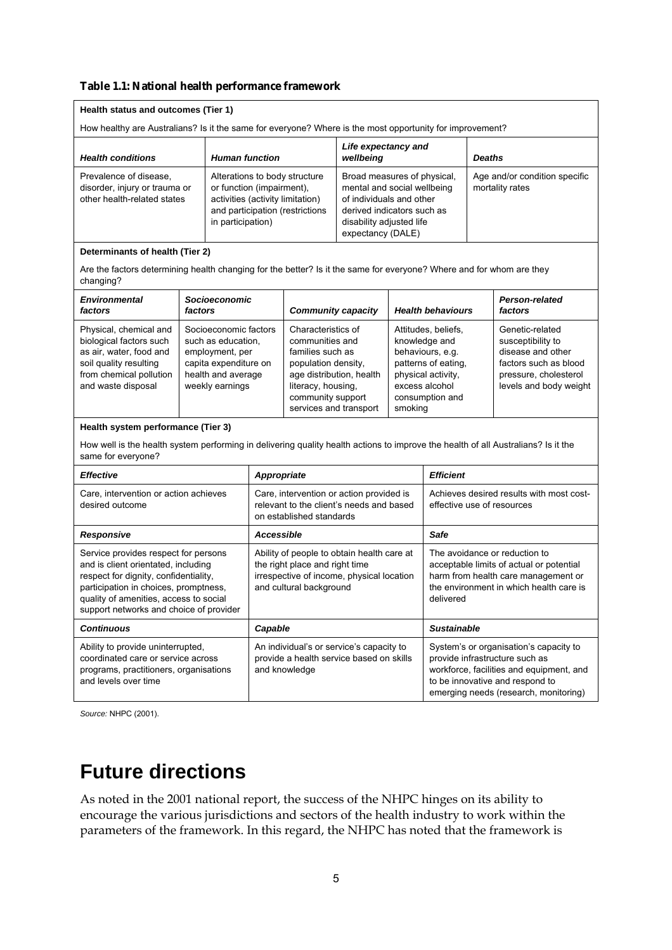#### **Table 1.1: National health performance framework**

| Health status and outcomes (Tier 1)                                                                                                                     |         |                                                                                                                                                                                                                                                                                |                           |                                                                                                                                                                       |                                                                                                                         |                                                  |                                                                                                                                       |  |  |
|---------------------------------------------------------------------------------------------------------------------------------------------------------|---------|--------------------------------------------------------------------------------------------------------------------------------------------------------------------------------------------------------------------------------------------------------------------------------|---------------------------|-----------------------------------------------------------------------------------------------------------------------------------------------------------------------|-------------------------------------------------------------------------------------------------------------------------|--------------------------------------------------|---------------------------------------------------------------------------------------------------------------------------------------|--|--|
| How healthy are Australians? Is it the same for everyone? Where is the most opportunity for improvement?                                                |         |                                                                                                                                                                                                                                                                                |                           |                                                                                                                                                                       |                                                                                                                         |                                                  |                                                                                                                                       |  |  |
| <b>Health conditions</b>                                                                                                                                |         | <b>Human function</b>                                                                                                                                                                                                                                                          |                           | Life expectancy and<br>wellbeing                                                                                                                                      |                                                                                                                         | <b>Deaths</b>                                    |                                                                                                                                       |  |  |
| Prevalence of disease,<br>disorder, injury or trauma or<br>other health-related states<br>Determinants of health (Tier 2)                               |         | Alterations to body structure<br>or function (impairment),<br>activities (activity limitation)<br>and participation (restrictions<br>in participation)<br>Are the factors determining health changing for the better? Is it the same for everyone? Where and for whom are they |                           | Broad measures of physical,<br>mental and social wellbeing<br>of individuals and other<br>derived indicators such as<br>disability adjusted life<br>expectancy (DALE) |                                                                                                                         | Age and/or condition specific<br>mortality rates |                                                                                                                                       |  |  |
| changing?                                                                                                                                               |         |                                                                                                                                                                                                                                                                                |                           |                                                                                                                                                                       |                                                                                                                         |                                                  |                                                                                                                                       |  |  |
| <b>Environmental</b><br>factors                                                                                                                         | factors | <b>Socioeconomic</b>                                                                                                                                                                                                                                                           | <b>Community capacity</b> |                                                                                                                                                                       | <b>Health behaviours</b>                                                                                                |                                                  | <b>Person-related</b><br>factors                                                                                                      |  |  |
| Physical, chemical and<br>biological factors such<br>as air, water, food and<br>soil quality resulting<br>from chemical pollution<br>and waste disposal |         | Characteristics of<br>Socioeconomic factors<br>such as education.<br>communities and<br>employment, per<br>families such as<br>capita expenditure on<br>population density,<br>health and average<br>weekly earnings<br>literacy, housing,                                     |                           | age distribution, health                                                                                                                                              | Attitudes, beliefs,<br>knowledge and<br>behaviours, e.g.<br>patterns of eating,<br>physical activity,<br>excess alcohol |                                                  | Genetic-related<br>susceptibility to<br>disease and other<br>factors such as blood<br>pressure, cholesterol<br>levels and body weight |  |  |

#### **Health system performance (Tier 3)**

How well is the health system performing in delivering quality health actions to improve the health of all Australians? Is it the same for everyone?

community support services and transport consumption and smoking

| <b>Effective</b>                                                                                                                                                                                                                                   | Appropriate                                                                                                                                          | <b>Efficient</b>                                                                                                                                                                                 |  |
|----------------------------------------------------------------------------------------------------------------------------------------------------------------------------------------------------------------------------------------------------|------------------------------------------------------------------------------------------------------------------------------------------------------|--------------------------------------------------------------------------------------------------------------------------------------------------------------------------------------------------|--|
| Care, intervention or action achieves<br>desired outcome                                                                                                                                                                                           | Care, intervention or action provided is<br>relevant to the client's needs and based<br>on established standards                                     | Achieves desired results with most cost-<br>effective use of resources                                                                                                                           |  |
| Responsive                                                                                                                                                                                                                                         | Accessible                                                                                                                                           | Safe                                                                                                                                                                                             |  |
| Service provides respect for persons<br>and is client orientated, including<br>respect for dignity, confidentiality,<br>participation in choices, promptness,<br>quality of amenities, access to social<br>support networks and choice of provider | Ability of people to obtain health care at<br>the right place and right time<br>irrespective of income, physical location<br>and cultural background | The avoidance or reduction to<br>acceptable limits of actual or potential<br>harm from health care management or<br>the environment in which health care is<br>delivered                         |  |
| <b>Continuous</b>                                                                                                                                                                                                                                  | Capable                                                                                                                                              | <b>Sustainable</b>                                                                                                                                                                               |  |
| Ability to provide uninterrupted,<br>coordinated care or service across<br>programs, practitioners, organisations<br>and levels over time                                                                                                          | An individual's or service's capacity to<br>provide a health service based on skills<br>and knowledge                                                | System's or organisation's capacity to<br>provide infrastructure such as<br>workforce, facilities and equipment, and<br>to be innovative and respond to<br>emerging needs (research, monitoring) |  |

*Source:* NHPC (2001).

### **Future directions**

As noted in the 2001 national report, the success of the NHPC hinges on its ability to encourage the various jurisdictions and sectors of the health industry to work within the parameters of the framework. In this regard, the NHPC has noted that the framework is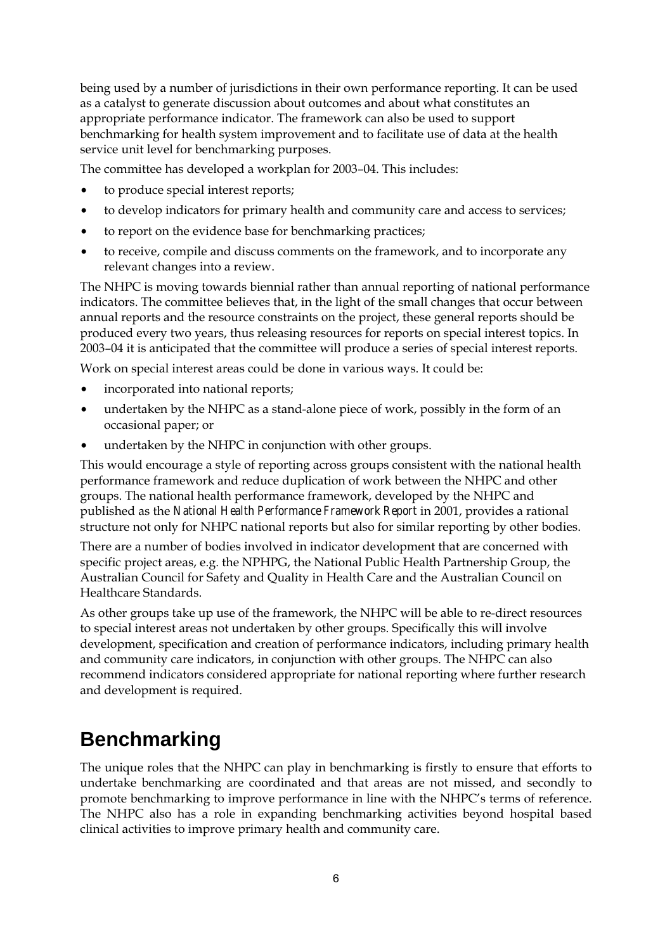being used by a number of jurisdictions in their own performance reporting. It can be used as a catalyst to generate discussion about outcomes and about what constitutes an appropriate performance indicator. The framework can also be used to support benchmarking for health system improvement and to facilitate use of data at the health service unit level for benchmarking purposes.

The committee has developed a workplan for 2003–04. This includes:

- to produce special interest reports;
- to develop indicators for primary health and community care and access to services;
- to report on the evidence base for benchmarking practices;
- to receive, compile and discuss comments on the framework, and to incorporate any relevant changes into a review.

The NHPC is moving towards biennial rather than annual reporting of national performance indicators. The committee believes that, in the light of the small changes that occur between annual reports and the resource constraints on the project, these general reports should be produced every two years, thus releasing resources for reports on special interest topics. In 2003–04 it is anticipated that the committee will produce a series of special interest reports.

Work on special interest areas could be done in various ways. It could be:

- incorporated into national reports;
- undertaken by the NHPC as a stand-alone piece of work, possibly in the form of an occasional paper; or
- undertaken by the NHPC in conjunction with other groups.

This would encourage a style of reporting across groups consistent with the national health performance framework and reduce duplication of work between the NHPC and other groups. The national health performance framework, developed by the NHPC and published as the *National Health Performance Framework Report* in 2001, provides a rational structure not only for NHPC national reports but also for similar reporting by other bodies.

There are a number of bodies involved in indicator development that are concerned with specific project areas, e.g. the NPHPG, the National Public Health Partnership Group, the Australian Council for Safety and Quality in Health Care and the Australian Council on Healthcare Standards.

As other groups take up use of the framework, the NHPC will be able to re-direct resources to special interest areas not undertaken by other groups. Specifically this will involve development, specification and creation of performance indicators, including primary health and community care indicators, in conjunction with other groups. The NHPC can also recommend indicators considered appropriate for national reporting where further research and development is required.

# **Benchmarking**

The unique roles that the NHPC can play in benchmarking is firstly to ensure that efforts to undertake benchmarking are coordinated and that areas are not missed, and secondly to promote benchmarking to improve performance in line with the NHPC's terms of reference. The NHPC also has a role in expanding benchmarking activities beyond hospital based clinical activities to improve primary health and community care.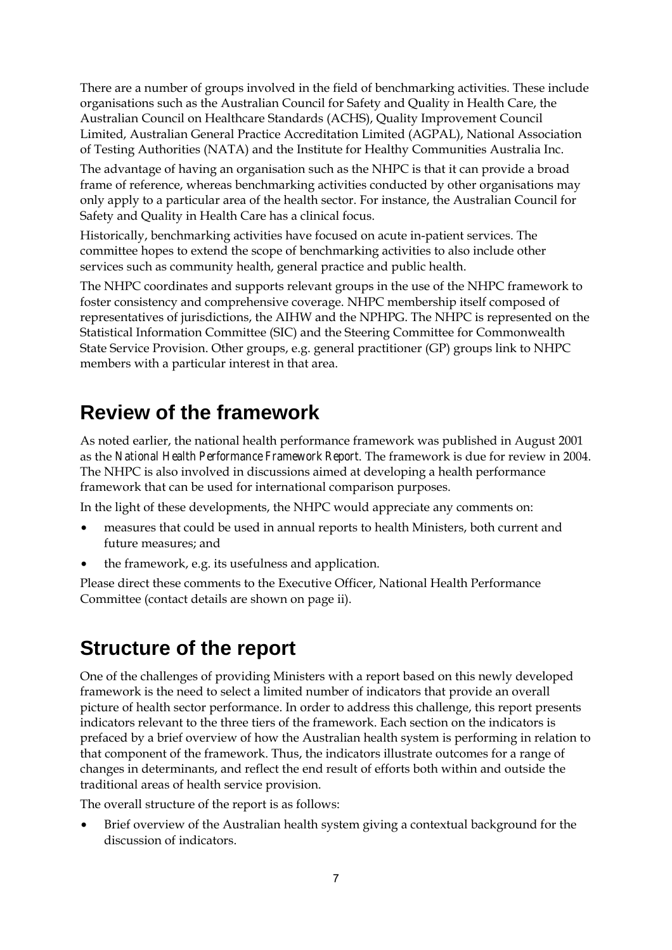There are a number of groups involved in the field of benchmarking activities. These include organisations such as the Australian Council for Safety and Quality in Health Care, the Australian Council on Healthcare Standards (ACHS), Quality Improvement Council Limited, Australian General Practice Accreditation Limited (AGPAL), National Association of Testing Authorities (NATA) and the Institute for Healthy Communities Australia Inc.

The advantage of having an organisation such as the NHPC is that it can provide a broad frame of reference, whereas benchmarking activities conducted by other organisations may only apply to a particular area of the health sector. For instance, the Australian Council for Safety and Quality in Health Care has a clinical focus.

Historically, benchmarking activities have focused on acute in-patient services. The committee hopes to extend the scope of benchmarking activities to also include other services such as community health, general practice and public health.

The NHPC coordinates and supports relevant groups in the use of the NHPC framework to foster consistency and comprehensive coverage. NHPC membership itself composed of representatives of jurisdictions, the AIHW and the NPHPG. The NHPC is represented on the Statistical Information Committee (SIC) and the Steering Committee for Commonwealth State Service Provision. Other groups, e.g. general practitioner (GP) groups link to NHPC members with a particular interest in that area.

### **Review of the framework**

As noted earlier, the national health performance framework was published in August 2001 as the *National Health Performance Framework Report*. The framework is due for review in 2004. The NHPC is also involved in discussions aimed at developing a health performance framework that can be used for international comparison purposes.

In the light of these developments, the NHPC would appreciate any comments on:

- measures that could be used in annual reports to health Ministers, both current and future measures; and
- the framework, e.g. its usefulness and application.

Please direct these comments to the Executive Officer, National Health Performance Committee (contact details are shown on page ii).

### **Structure of the report**

One of the challenges of providing Ministers with a report based on this newly developed framework is the need to select a limited number of indicators that provide an overall picture of health sector performance. In order to address this challenge, this report presents indicators relevant to the three tiers of the framework. Each section on the indicators is prefaced by a brief overview of how the Australian health system is performing in relation to that component of the framework. Thus, the indicators illustrate outcomes for a range of changes in determinants, and reflect the end result of efforts both within and outside the traditional areas of health service provision.

The overall structure of the report is as follows:

• Brief overview of the Australian health system giving a contextual background for the discussion of indicators.